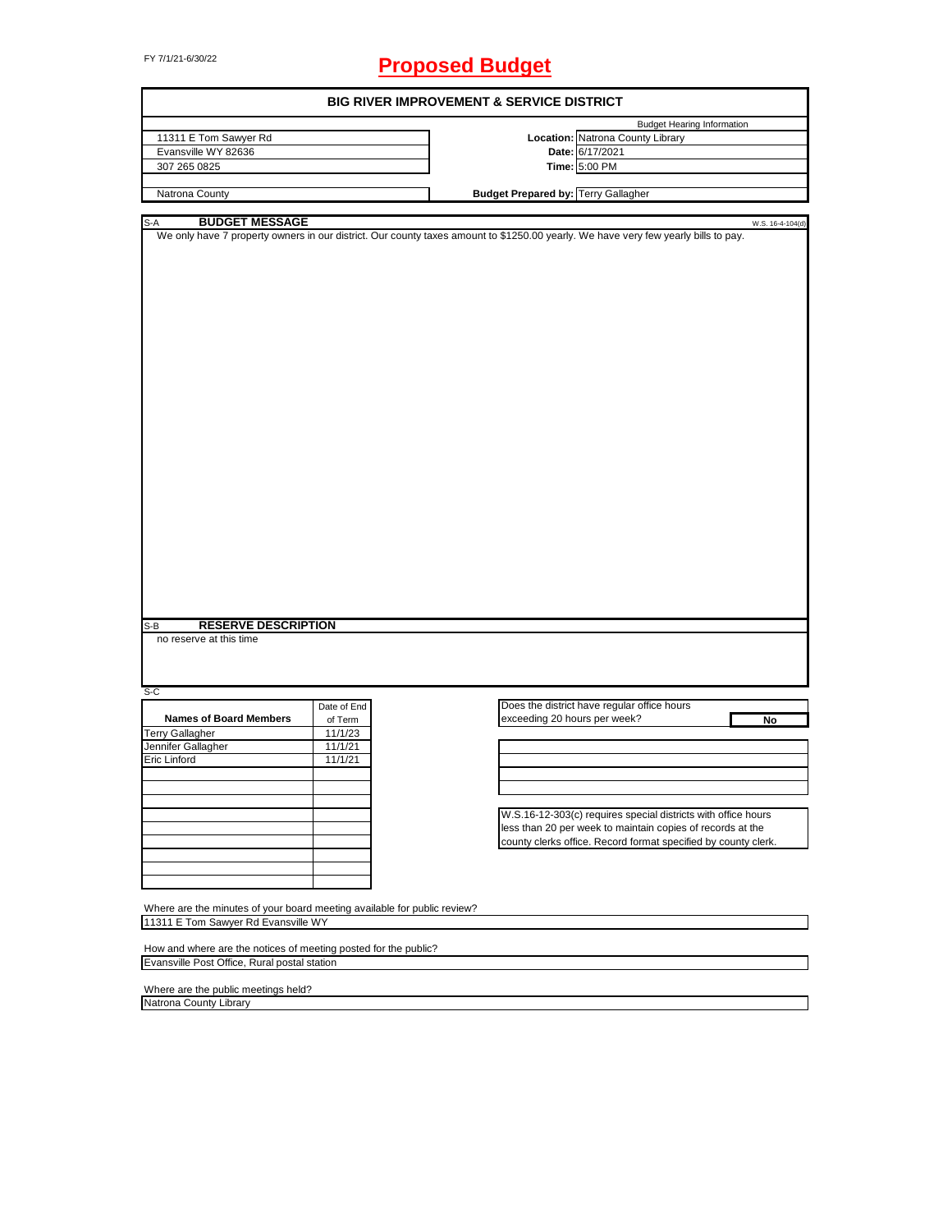# FY 7/1/21-6/30/22 **Proposed Budget**

|                                                                          |             | <b>BIG RIVER IMPROVEMENT &amp; SERVICE DISTRICT</b>                                                                                |
|--------------------------------------------------------------------------|-------------|------------------------------------------------------------------------------------------------------------------------------------|
|                                                                          |             | <b>Budget Hearing Information</b>                                                                                                  |
| 11311 E Tom Sawyer Rd                                                    |             | Location: Natrona County Library                                                                                                   |
| Evansville WY 82636                                                      |             | Date: 6/17/2021                                                                                                                    |
| 307 265 0825                                                             |             | Time: 5:00 PM                                                                                                                      |
| Natrona County                                                           |             | <b>Budget Prepared by: Terry Gallagher</b>                                                                                         |
|                                                                          |             |                                                                                                                                    |
| <b>BUDGET MESSAGE</b><br>S-A                                             |             | W.S. 16-4-104(d)                                                                                                                   |
|                                                                          |             | We only have 7 property owners in our district. Our county taxes amount to \$1250.00 yearly. We have very few yearly bills to pay. |
| <b>RESERVE DESCRIPTION</b><br>S-B<br>no reserve at this time             |             |                                                                                                                                    |
| $S-C$                                                                    |             |                                                                                                                                    |
|                                                                          | Date of End | Does the district have regular office hours                                                                                        |
| <b>Names of Board Members</b>                                            | of Term     | exceeding 20 hours per week?<br>No                                                                                                 |
| <b>Terry Gallagher</b>                                                   | 11/1/23     |                                                                                                                                    |
| Jennifer Gallagher                                                       | 11/1/21     |                                                                                                                                    |
| Eric Linford                                                             | 11/1/21     |                                                                                                                                    |
|                                                                          |             |                                                                                                                                    |
|                                                                          |             |                                                                                                                                    |
|                                                                          |             |                                                                                                                                    |
|                                                                          |             | W.S.16-12-303(c) requires special districts with office hours                                                                      |
|                                                                          |             | less than 20 per week to maintain copies of records at the                                                                         |
|                                                                          |             | county clerks office. Record format specified by county clerk.                                                                     |
|                                                                          |             |                                                                                                                                    |
|                                                                          |             |                                                                                                                                    |
|                                                                          |             |                                                                                                                                    |
|                                                                          |             |                                                                                                                                    |
| Where are the minutes of your board meeting available for public review? |             |                                                                                                                                    |
| 11311 E Tom Sawyer Rd Evansville WY                                      |             |                                                                                                                                    |
|                                                                          |             |                                                                                                                                    |
| How and where are the notices of meeting posted for the public?          |             |                                                                                                                                    |
| Evansville Post Office, Rural postal station                             |             |                                                                                                                                    |

Where are the public meetings held? Natrona County Library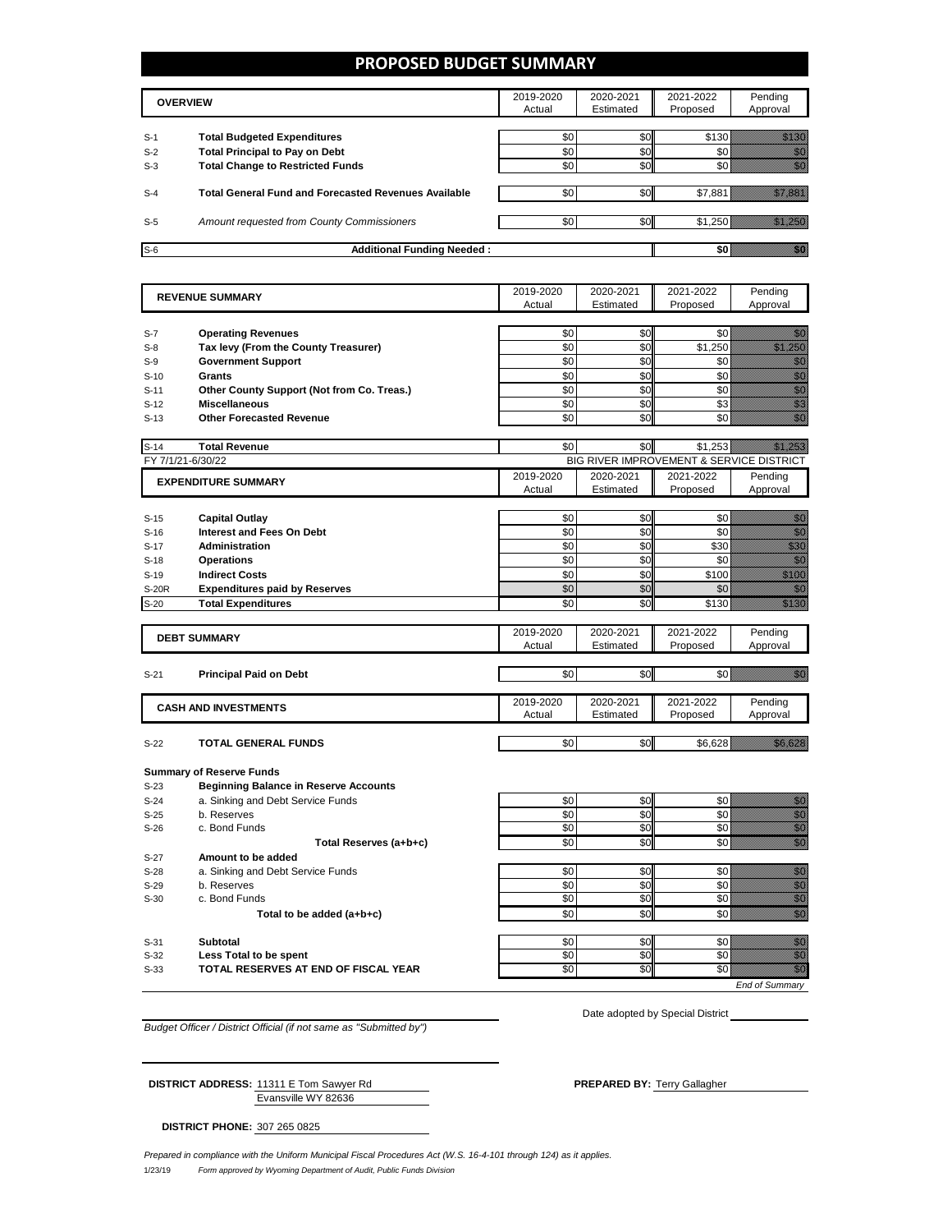#### **PROPOSED BUDGET SUMMARY**

|       | <b>OVERVIEW</b>                                             | 2019-2020<br>Actual | 2020-2021<br>Estimated | 2021-2022<br>Proposed | Pending<br>Approval |
|-------|-------------------------------------------------------------|---------------------|------------------------|-----------------------|---------------------|
| $S-1$ | <b>Total Budgeted Expenditures</b>                          | \$0                 | \$0                    | \$130                 |                     |
| $S-2$ | <b>Total Principal to Pay on Debt</b>                       | \$0                 | \$0                    |                       |                     |
| $S-3$ | <b>Total Change to Restricted Funds</b>                     | \$0                 | \$0                    |                       |                     |
|       |                                                             |                     |                        |                       |                     |
| $S-4$ | <b>Total General Fund and Forecasted Revenues Available</b> | \$0                 | \$0                    | \$7,881               |                     |
|       |                                                             |                     |                        |                       |                     |
| $S-5$ | Amount requested from County Commissioners                  | \$0                 | \$0                    | \$1,250               |                     |
|       |                                                             |                     |                        |                       |                     |
| $S-6$ | <b>Additional Funding Needed:</b>                           |                     |                        |                       |                     |

| <b>REVENUE SUMMARY</b> |                                              | 2019-2020 | 2020-2021      | 2021-2022                                | Pending                                                                                                                                                                                                                              |
|------------------------|----------------------------------------------|-----------|----------------|------------------------------------------|--------------------------------------------------------------------------------------------------------------------------------------------------------------------------------------------------------------------------------------|
|                        |                                              | Actual    | Estimated      | Proposed                                 | Approval                                                                                                                                                                                                                             |
|                        |                                              |           |                |                                          |                                                                                                                                                                                                                                      |
| $S-7$                  | <b>Operating Revenues</b>                    | \$0       | \$0            | \$0                                      | en 1999.<br>Statistike en statistike en delta statistike en statistike en statistike en statistike en statistike en statis<br>Statistike en statistike en statistike en statistike en statistike en statistike en statistike en stat |
| $S-8$                  | Tax levy (From the County Treasurer)         | \$0       | \$0            | \$1,250                                  | a katika kulongan katika kulongan aktika kulongan aktika kulongan aktika kulongan aktika kulongan aktika kulon<br>Katika kulongan aktika kulongan aktika kulongan aktika kulongan aktika kulongan aktika kulongan aktika kulonga     |
| $S-9$                  | <b>Government Support</b>                    | \$0       | \$0            | \$0                                      | en de la falsa<br>Maria                                                                                                                                                                                                              |
| $S-10$                 | Grants                                       | \$0       | \$0            | \$0                                      | en en de familie (d. 1917).<br>Altres de families (d. 1918).<br>Altres de families (d. 1918).                                                                                                                                        |
| $S-11$                 | Other County Support (Not from Co. Treas.)   | \$0       | \$0            | \$0                                      |                                                                                                                                                                                                                                      |
| $S-12$                 | <b>Miscellaneous</b>                         | \$0       | \$0            | \$3                                      | e de la construcción de la construcción de la construcción de la construcción de la construcción de la constru                                                                                                                       |
| $S-13$                 | <b>Other Forecasted Revenue</b>              | \$0       | \$0            | \$0                                      |                                                                                                                                                                                                                                      |
| $S-14$                 | <b>Total Revenue</b>                         | \$0       | \$0            | \$1,253                                  | <u>Maria B</u>                                                                                                                                                                                                                       |
| FY 7/1/21-6/30/22      |                                              |           |                | BIG RIVER IMPROVEMENT & SERVICE DISTRICT |                                                                                                                                                                                                                                      |
|                        |                                              | 2019-2020 | 2020-2021      | 2021-2022                                | Pending                                                                                                                                                                                                                              |
|                        | <b>EXPENDITURE SUMMARY</b>                   | Actual    | Estimated      | Proposed                                 | Approval                                                                                                                                                                                                                             |
|                        |                                              |           |                |                                          |                                                                                                                                                                                                                                      |
| $S-15$                 | <b>Capital Outlay</b>                        | \$0       | \$0            | \$0                                      | enne<br>Gallia                                                                                                                                                                                                                       |
| $S-16$                 | Interest and Fees On Debt                    | \$0       | \$0            | \$0                                      | enne<br>Mille                                                                                                                                                                                                                        |
| $S-17$                 | <b>Administration</b>                        | \$0       | \$0            | \$30                                     | en de filosofon de filosofon de filosofon de filosofon de filosofon de filosofon de filosofon de filosofon de<br>Filosofon de filosofon de filosofon de filosofon de filosofon de filosofon de filosofon de filosofon de filoso      |
| $S-18$                 | <b>Operations</b>                            | \$0       | \$0            | \$0                                      | en de la familie de la familie de la familie de la familie de la familie de la familie de la familie de la fa<br>Constitution de la familie de la familie de la familie de la familie de la familie de la familie de la familie      |
| $S-19$                 | <b>Indirect Costs</b>                        | \$0       | \$0            | \$100                                    | a Maria B                                                                                                                                                                                                                            |
| <b>S-20R</b>           | <b>Expenditures paid by Reserves</b>         | \$0       | \$0            | \$0                                      | en 1999.<br>Statistik                                                                                                                                                                                                                |
| $S-20$                 | <b>Total Expenditures</b>                    | \$0       | \$0            | \$130                                    | en en de la format de la format de la format de la format de la format de la format de la format de la format<br>En la format de la format de la format de la format de la format de la format de la format de la format de la       |
|                        |                                              |           |                |                                          |                                                                                                                                                                                                                                      |
|                        | <b>DEBT SUMMARY</b>                          | 2019-2020 | 2020-2021      | 2021-2022                                | Pending                                                                                                                                                                                                                              |
|                        |                                              | Actual    | Estimated      | Proposed                                 | Approval                                                                                                                                                                                                                             |
|                        |                                              |           |                |                                          |                                                                                                                                                                                                                                      |
| $S-21$                 | <b>Principal Paid on Debt</b>                | \$0       | \$0            | \$0                                      | ellistik<br>Martin                                                                                                                                                                                                                   |
|                        |                                              |           |                |                                          |                                                                                                                                                                                                                                      |
|                        | <b>CASH AND INVESTMENTS</b>                  | 2019-2020 | 2020-2021      | 2021-2022                                | Pending                                                                                                                                                                                                                              |
|                        |                                              | Actual    | Estimated      | Proposed                                 | Approval                                                                                                                                                                                                                             |
| $S-22$                 | <b>TOTAL GENERAL FUNDS</b>                   | \$0       | \$0            | \$6,628                                  | <u>till fra</u>                                                                                                                                                                                                                      |
|                        |                                              |           |                |                                          |                                                                                                                                                                                                                                      |
|                        | <b>Summary of Reserve Funds</b>              |           |                |                                          |                                                                                                                                                                                                                                      |
| $S-23$                 | <b>Beginning Balance in Reserve Accounts</b> |           |                |                                          |                                                                                                                                                                                                                                      |
| $S-24$                 | a. Sinking and Debt Service Funds            | \$0       | \$0            | \$0                                      |                                                                                                                                                                                                                                      |
| $S-25$                 | b. Reserves                                  | \$0       | \$0            | \$0                                      |                                                                                                                                                                                                                                      |
| $S-26$                 | c. Bond Funds                                | \$0       | \$0            | \$0                                      | e de la composición de la composición de la composición de la composición de la composición de la composición<br>Campo de la composición de la composición de la composición de la composición de la composición de la composic      |
|                        | Total Reserves (a+b+c)                       | \$0       | S <sub>0</sub> | $\overline{50}$                          | en de la familie de la familie de la familie de la familie de la familie de la familie de la familie de la fam<br>Concelle de la familie de la familie de la familie de la familie de la familie de la familie de la familie de      |
| $S-27$                 | Amount to be added                           |           |                |                                          |                                                                                                                                                                                                                                      |
| $S-28$                 | a. Sinking and Debt Service Funds            | \$0       | \$0            | \$0                                      |                                                                                                                                                                                                                                      |
| $S-29$                 | b. Reserves                                  | \$0       | \$0            | \$0                                      | e de la composición de la composición de la composición de la composición de la composición de la composición<br>Campo de la composición de la composición de la composición de la composición de la composición de la composic      |
| $S-30$                 | c. Bond Funds                                | \$0       | \$0            | \$0                                      |                                                                                                                                                                                                                                      |
|                        | Total to be added (a+b+c)                    | \$0       | \$0            | \$0                                      | en de la f                                                                                                                                                                                                                           |
|                        |                                              |           |                |                                          |                                                                                                                                                                                                                                      |
| $S-31$                 | <b>Subtotal</b>                              | \$0       | \$0            | \$0                                      | en de la familie de la familie de la familie de la familie de la familie de la familie de la familie de la fam<br>Constitution de la familie de la familie de la familie de la familie de la familie de la familie de la familie     |
| $S-32$                 | Less Total to be spent                       | \$0       | \$0            | \$0                                      | en en de la familie de la familie de la familie de la familie de la familie de la familie de la familie de la<br>Constitution de la familie de la familie de la familie de la familie de la familie de la familie de la familie      |
| $S-33$                 | TOTAL RESERVES AT END OF FISCAL YEAR         | \$0       | \$0            | \$0                                      | en de la familie de la familie de la familie de la familie de la familie de la familie de la familie de la fa<br>De la familie de la familie de la familie de la familie de la familie de la familie de la familie de la famili      |
|                        |                                              |           |                |                                          | <b>End of Summary</b>                                                                                                                                                                                                                |

*Budget Officer / District Official (if not same as "Submitted by")*

Date adopted by Special District

Evansville WY 82636 **DISTRICT ADDRESS:** 11311 E Tom Sawyer Rd **PREPARED BY: Terry Gallagher** PREPARED BY: Terry Gallagher

**DISTRICT PHONE:** 307 265 0825

1/23/19 *Form approved by Wyoming Department of Audit, Public Funds Division Prepared in compliance with the Uniform Municipal Fiscal Procedures Act (W.S. 16-4-101 through 124) as it applies.*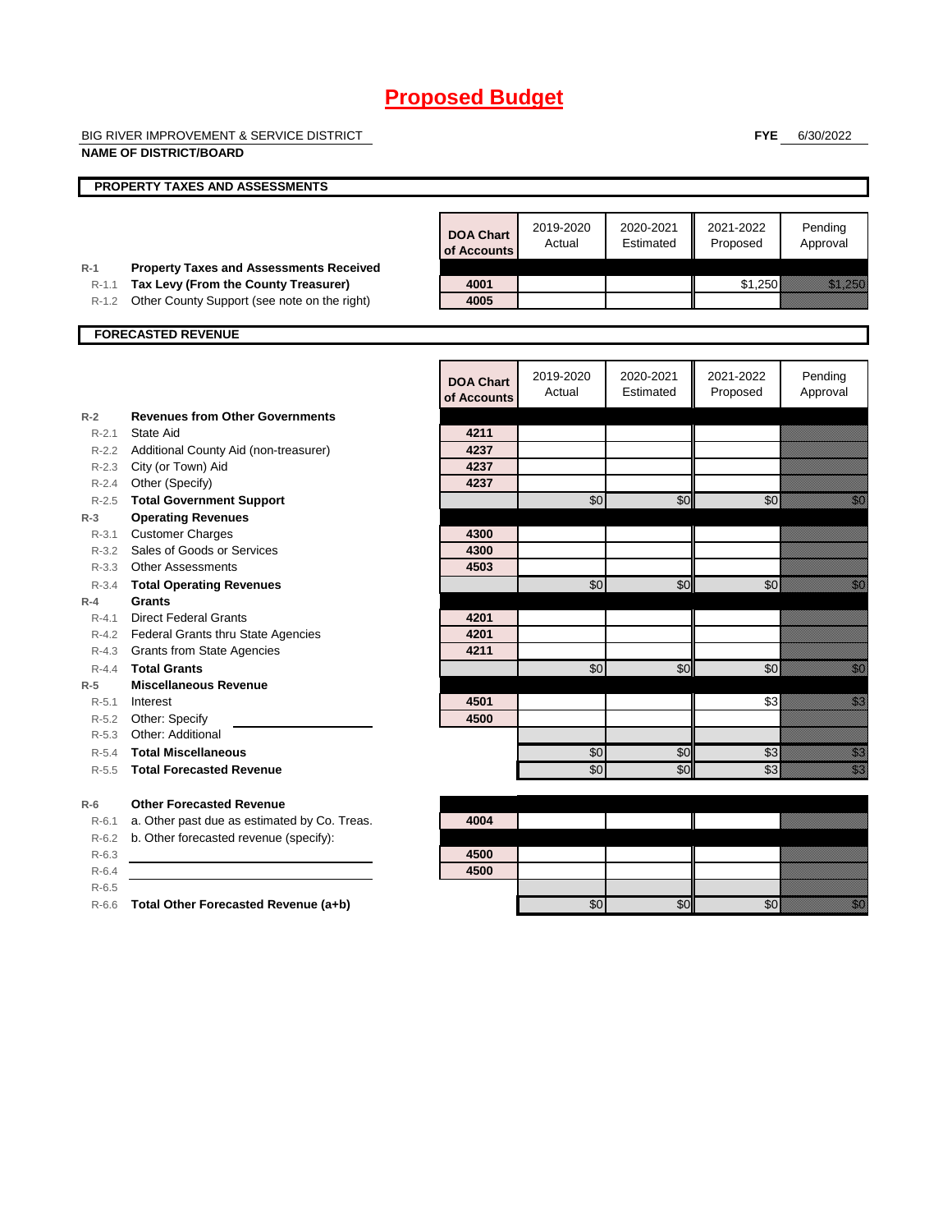BIG RIVER IMPROVEMENT & SERVICE DISTRICT

**NAME OF DISTRICT/BOARD**

**FYE** 6/30/2022

|                    | <b>PROPERTY TAXES AND ASSESSMENTS</b>          |                                 |                     |                        |                       |                                                                                                                                                                                                                                      |
|--------------------|------------------------------------------------|---------------------------------|---------------------|------------------------|-----------------------|--------------------------------------------------------------------------------------------------------------------------------------------------------------------------------------------------------------------------------------|
|                    |                                                |                                 |                     |                        |                       |                                                                                                                                                                                                                                      |
|                    |                                                | <b>DOA Chart</b><br>of Accounts | 2019-2020<br>Actual | 2020-2021<br>Estimated | 2021-2022<br>Proposed | Pending<br>Approval                                                                                                                                                                                                                  |
| $R-1$              | <b>Property Taxes and Assessments Received</b> |                                 |                     |                        |                       |                                                                                                                                                                                                                                      |
| $R - 1.1$          | Tax Levy (From the County Treasurer)           | 4001<br>4005                    |                     |                        | \$1,250               |                                                                                                                                                                                                                                      |
| $R-1.2$            | Other County Support (see note on the right)   |                                 |                     |                        |                       |                                                                                                                                                                                                                                      |
|                    | <b>FORECASTED REVENUE</b>                      |                                 |                     |                        |                       |                                                                                                                                                                                                                                      |
|                    |                                                |                                 |                     |                        |                       |                                                                                                                                                                                                                                      |
|                    |                                                | <b>DOA Chart</b><br>of Accounts | 2019-2020<br>Actual | 2020-2021<br>Estimated | 2021-2022<br>Proposed | Pending<br>Approval                                                                                                                                                                                                                  |
| $R-2$              | <b>Revenues from Other Governments</b>         |                                 |                     |                        |                       |                                                                                                                                                                                                                                      |
| $R - 2.1$          | State Aid                                      | 4211                            |                     |                        |                       |                                                                                                                                                                                                                                      |
|                    | R-2.2 Additional County Aid (non-treasurer)    | 4237                            |                     |                        |                       |                                                                                                                                                                                                                                      |
|                    | R-2.3 City (or Town) Aid                       | 4237                            |                     |                        |                       |                                                                                                                                                                                                                                      |
| $R - 2.4$          | Other (Specify)                                | 4237                            |                     |                        |                       |                                                                                                                                                                                                                                      |
| $R - 2.5$          | <b>Total Government Support</b>                |                                 | \$0                 | \$0                    | \$0                   | e de la composición de la composición de la composición de la composición de la composición de la composición<br>Composición                                                                                                         |
| $R-3$              | <b>Operating Revenues</b>                      |                                 |                     |                        |                       |                                                                                                                                                                                                                                      |
| $R - 3.1$          | <b>Customer Charges</b>                        | 4300                            |                     |                        |                       |                                                                                                                                                                                                                                      |
|                    | R-3.2 Sales of Goods or Services               | 4300                            |                     |                        |                       |                                                                                                                                                                                                                                      |
|                    | R-3.3 Other Assessments                        | 4503                            |                     |                        |                       |                                                                                                                                                                                                                                      |
| $R - 3.4$          | <b>Total Operating Revenues</b>                |                                 | $\sqrt{6}$          | \$0                    | \$0                   | en de la falsa<br>Alta de la falsa de la falsa de la falsa de la falsa de la falsa de la falsa de la falsa de la fa<br>Falsa de la falsa de la falsa de la falsa de la falsa de la falsa de la falsa de la falsa de la falsa de la f |
| $R-4$<br>$R - 4.1$ | Grants<br><b>Direct Federal Grants</b>         |                                 |                     |                        |                       |                                                                                                                                                                                                                                      |
|                    | R-4.2 Federal Grants thru State Agencies       | 4201<br>4201                    |                     |                        |                       |                                                                                                                                                                                                                                      |
|                    | R-4.3 Grants from State Agencies               | 4211                            |                     |                        |                       |                                                                                                                                                                                                                                      |
| $R - 4.4$          | <b>Total Grants</b>                            |                                 | $\overline{60}$     | \$0                    | $\overline{60}$       | en de la familie de la familie de la familie de la familie de la familie de la familie de la familie de la fam<br>Constituit de la familie de la familie de la familie de la familie de la familie de la familie de la familie d     |
| $R-5$              | <b>Miscellaneous Revenue</b>                   |                                 |                     |                        |                       |                                                                                                                                                                                                                                      |
| $R - 5.1$          | Interest                                       | 4501                            |                     |                        | \$3                   | en de la familie de la familie de la familie de la familie de la familie de la familie de la familie de la fam<br>Constituit de la familie de la familie de la familie de la familie de la familie de la familie de la familie d     |
|                    | R-5.2 Other: Specify                           | 4500                            |                     |                        |                       |                                                                                                                                                                                                                                      |
| $R - 5.3$          | Other: Additional                              |                                 |                     |                        |                       |                                                                                                                                                                                                                                      |
| $R - 5.4$          | <b>Total Miscellaneous</b>                     |                                 | \$0                 | \$0                    | \$3                   | en de la familie de la familie de la familie de la familie de la familie de la familie de la familie de la fa<br>Constituit de la familie de la familie de la familie de la familie de la familie de la familie de la familie d      |
| $R - 5.5$          | <b>Total Forecasted Revenue</b>                |                                 | $\overline{50}$     | \$0                    | $\sqrt{3}$            | eri<br>Mala                                                                                                                                                                                                                          |
| $R-6$              | <b>Other Forecasted Revenue</b>                |                                 |                     |                        |                       |                                                                                                                                                                                                                                      |
| $R-6.1$            | a. Other past due as estimated by Co. Treas.   | 4004                            |                     |                        |                       |                                                                                                                                                                                                                                      |
| $R-6.2$            | b. Other forecasted revenue (specify):         |                                 |                     |                        |                       |                                                                                                                                                                                                                                      |
| $R-6.3$            |                                                | 4500                            |                     |                        |                       |                                                                                                                                                                                                                                      |
| $R-6.4$            |                                                | 4500                            |                     |                        |                       |                                                                                                                                                                                                                                      |
| $R-6.5$            |                                                |                                 |                     |                        |                       |                                                                                                                                                                                                                                      |
| $R-6.6$            | Total Other Forecasted Revenue (a+b)           |                                 | \$0                 | \$0                    | \$0                   | en de la familie de la familie de la familie de la familie de la familie de la familie de la familie de la fa<br>Constitution de la familie de la familie de la familie de la familie de la familie de la familie de la familie      |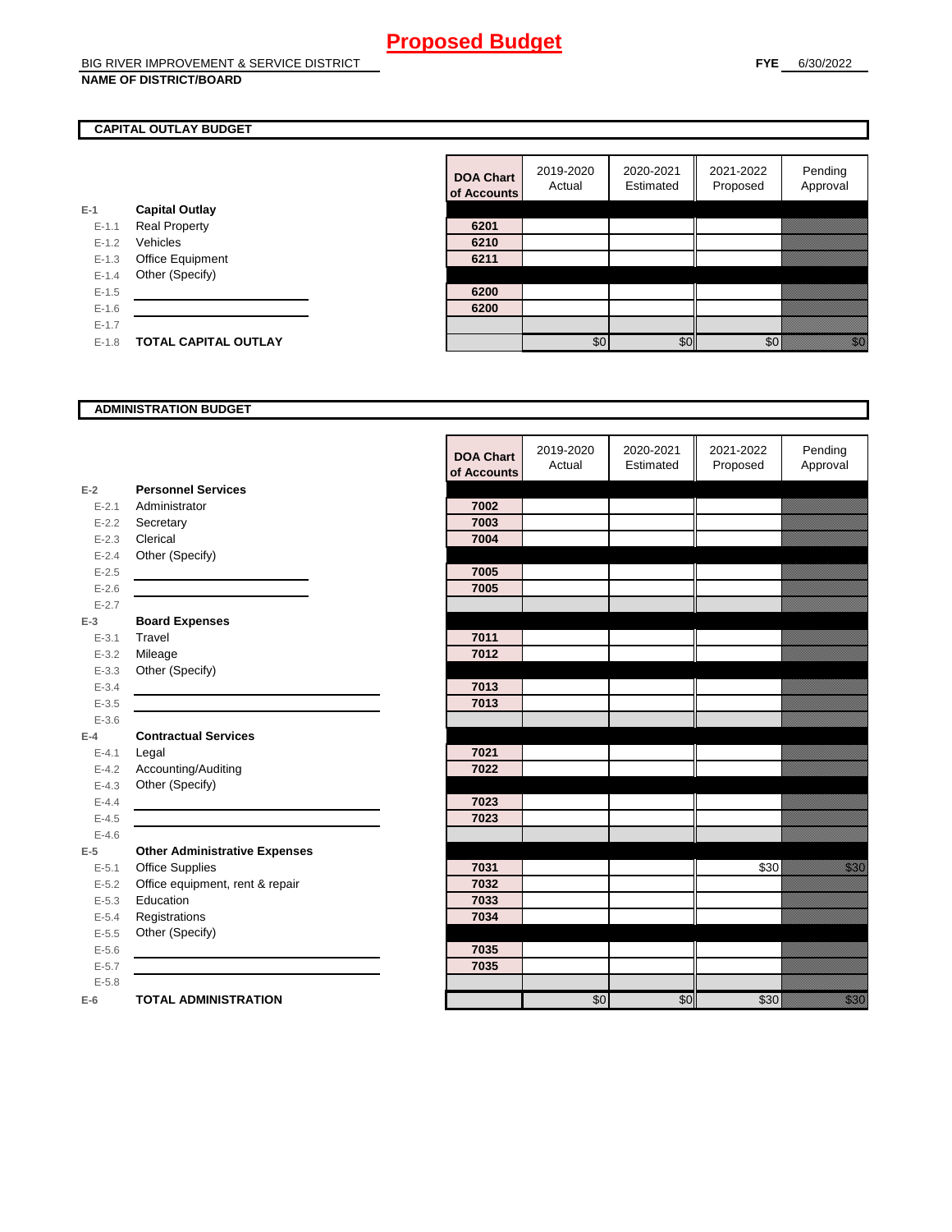#### **CAPITAL OUTLAY BUDGET**

|           |                             | <u>ui nuuu</u> |
|-----------|-----------------------------|----------------|
| E-1       | <b>Capital Outlay</b>       |                |
| $E - 1.1$ | <b>Real Property</b>        | 6201           |
| $E - 1.2$ | Vehicles                    | 6210           |
| $E-1.3$   | Office Equipment            | 6211           |
| $E - 1.4$ | Other (Specify)             |                |
| $E - 1.5$ |                             | 6200           |
| $E-1.6$   |                             | 6200           |
| $E-1.7$   |                             |                |
| $E - 1.8$ | <b>TOTAL CAPITAL OUTLAY</b> |                |
|           |                             |                |

| <b>DOA Chart</b><br>of Accounts | 2019-2020<br>Actual | 2020-2021<br>Estimated | 2021-2022<br>Proposed | Pending<br>Approval |
|---------------------------------|---------------------|------------------------|-----------------------|---------------------|
|                                 |                     |                        |                       |                     |
| 6201                            |                     |                        |                       |                     |
| 6210                            |                     |                        |                       |                     |
| 6211                            |                     |                        |                       |                     |
|                                 |                     |                        |                       |                     |
| 6200                            |                     |                        |                       |                     |
| 6200                            |                     |                        |                       |                     |
|                                 |                     |                        |                       |                     |
|                                 | \$0                 | ¢٬                     |                       |                     |

#### **ADMINISTRATION BUDGET**

|           |                                      | <b>DOA Chart</b><br>of Accounts | 2019-2020<br>Actual | 2020-2021<br>Estimated | 2021-2022<br>Proposed | Pending<br>Approval               |
|-----------|--------------------------------------|---------------------------------|---------------------|------------------------|-----------------------|-----------------------------------|
| $E-2$     | <b>Personnel Services</b>            |                                 |                     |                        |                       |                                   |
| $E - 2.1$ | Administrator                        | 7002                            |                     |                        |                       |                                   |
| $E - 2.2$ | Secretary                            | 7003                            |                     |                        |                       |                                   |
| $E - 2.3$ | Clerical                             | 7004                            |                     |                        |                       |                                   |
| $E - 2.4$ | Other (Specify)                      |                                 |                     |                        |                       |                                   |
| $E-2.5$   |                                      | 7005                            |                     |                        |                       |                                   |
| $E - 2.6$ |                                      | 7005                            |                     |                        |                       |                                   |
| $E - 2.7$ |                                      |                                 |                     |                        |                       |                                   |
| $E-3$     | <b>Board Expenses</b>                |                                 |                     |                        |                       |                                   |
| $E - 3.1$ | Travel                               | 7011                            |                     |                        |                       |                                   |
| $E - 3.2$ | Mileage                              | 7012                            |                     |                        |                       |                                   |
| $E - 3.3$ | Other (Specify)                      |                                 |                     |                        |                       |                                   |
| $E - 3.4$ |                                      | 7013                            |                     |                        |                       |                                   |
| $E-3.5$   |                                      | 7013                            |                     |                        |                       |                                   |
| $E - 3.6$ |                                      |                                 |                     |                        |                       |                                   |
| $E-4$     | <b>Contractual Services</b>          |                                 |                     |                        |                       |                                   |
| $E - 4.1$ | Legal                                | 7021                            |                     |                        |                       |                                   |
| $E - 4.2$ | Accounting/Auditing                  | 7022                            |                     |                        |                       |                                   |
| $E - 4.3$ | Other (Specify)                      |                                 |                     |                        |                       |                                   |
| $E-4.4$   |                                      | 7023                            |                     |                        |                       |                                   |
| $E-4.5$   |                                      | 7023                            |                     |                        |                       |                                   |
| $E-4.6$   |                                      |                                 |                     |                        |                       |                                   |
| $E-5$     | <b>Other Administrative Expenses</b> |                                 |                     |                        |                       |                                   |
| $E - 5.1$ | <b>Office Supplies</b>               | 7031                            |                     |                        | \$30                  | <u>i k</u>                        |
| $E - 5.2$ | Office equipment, rent & repair      | 7032                            |                     |                        |                       |                                   |
| $E - 5.3$ | Education                            | 7033                            |                     |                        |                       |                                   |
| $E - 5.4$ | Registrations                        | 7034                            |                     |                        |                       |                                   |
| $E-5.5$   | Other (Specify)                      |                                 |                     |                        |                       |                                   |
| $E - 5.6$ |                                      | 7035                            |                     |                        |                       |                                   |
| $E - 5.7$ |                                      | 7035                            |                     |                        |                       |                                   |
| $E - 5.8$ |                                      |                                 |                     |                        |                       |                                   |
| $E-6$     | <b>TOTAL ADMINISTRATION</b>          |                                 | \$0                 | \$0                    | \$30                  | a katika katika katika katika ali |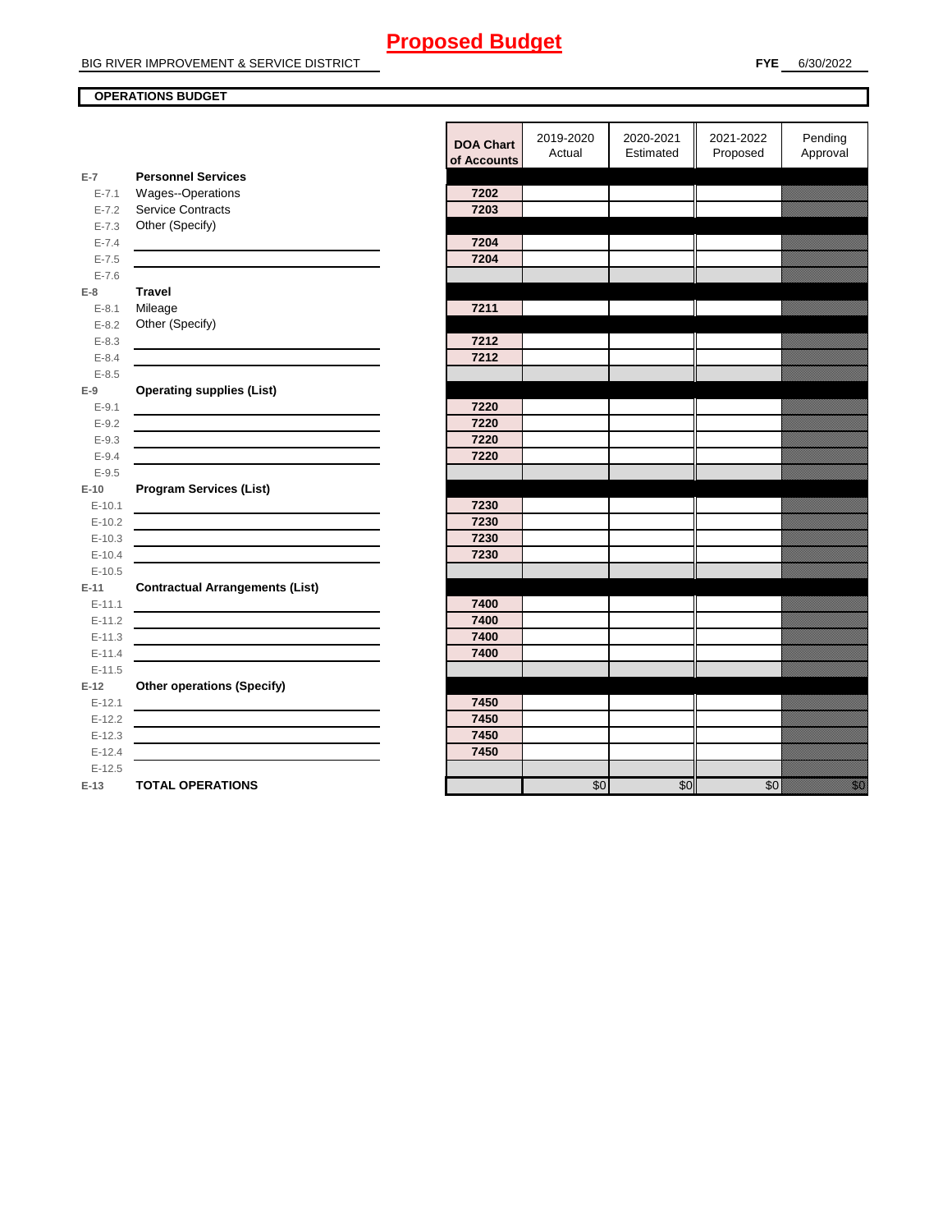#### **OPERATIONS BUDGET**

| Pending<br>2019-2020<br>2020-2021<br>2021-2022<br><b>DOA Chart</b><br>Estimated<br>Proposed<br>Approval<br>Actual<br>of Accounts<br><b>Personnel Services</b><br>$E-7$<br>Wages--Operations<br>7202<br>$E - 7.1$<br><b>Service Contracts</b><br>7203<br>$E - 7.2$<br>Other (Specify)<br>$E - 7.3$<br>7204<br>$E - 7.4$<br>$E - 7.5$<br>7204<br>$E - 7.6$<br><b>Travel</b><br>$E-8$<br>Mileage<br>7211<br>$E - 8.1$<br>Other (Specify)<br>$E - 8.2$<br>$E - 8.3$<br>7212<br>$E - 8.4$<br>7212<br>$E - 8.5$<br><b>Operating supplies (List)</b><br>$E-9$<br>$E-9.1$<br>7220<br>$E - 9.2$<br>7220<br>7220<br>$E - 9.3$<br>7220<br>$E - 9.4$<br>$E-9.5$<br><b>Program Services (List)</b><br>$E-10$<br>7230<br>$E-10.1$<br>7230<br>$E-10.2$<br>7230<br>$E-10.3$<br>$E-10.4$<br>7230<br>$E-10.5$<br><b>Contractual Arrangements (List)</b><br>$E-11$<br>7400<br>$E-11.1$<br>7400<br>$E - 11.2$<br>7400<br>$E - 11.3$<br><u> 1980 - Johann Barn, amerikansk politiker (d. 1980)</u><br>7400<br>$E-11.4$<br>$E-11.5$<br><b>Other operations (Specify)</b><br>$E-12$<br>7450<br>$E-12.1$<br>7450<br>$E-12.2$<br><u> 1989 - Johann Stein, mars an de Brazilian (b. 1989)</u><br>7450<br>$E-12.3$<br>7450<br>$E-12.4$<br>$E-12.5$<br>\$0<br>en eller<br>Michelle<br><b>TOTAL OPERATIONS</b><br>\$0<br>\$0<br>$E-13$ |  |  |  |  |
|-----------------------------------------------------------------------------------------------------------------------------------------------------------------------------------------------------------------------------------------------------------------------------------------------------------------------------------------------------------------------------------------------------------------------------------------------------------------------------------------------------------------------------------------------------------------------------------------------------------------------------------------------------------------------------------------------------------------------------------------------------------------------------------------------------------------------------------------------------------------------------------------------------------------------------------------------------------------------------------------------------------------------------------------------------------------------------------------------------------------------------------------------------------------------------------------------------------------------------------------------------------------------------------------------------------|--|--|--|--|
|                                                                                                                                                                                                                                                                                                                                                                                                                                                                                                                                                                                                                                                                                                                                                                                                                                                                                                                                                                                                                                                                                                                                                                                                                                                                                                           |  |  |  |  |
|                                                                                                                                                                                                                                                                                                                                                                                                                                                                                                                                                                                                                                                                                                                                                                                                                                                                                                                                                                                                                                                                                                                                                                                                                                                                                                           |  |  |  |  |
|                                                                                                                                                                                                                                                                                                                                                                                                                                                                                                                                                                                                                                                                                                                                                                                                                                                                                                                                                                                                                                                                                                                                                                                                                                                                                                           |  |  |  |  |
|                                                                                                                                                                                                                                                                                                                                                                                                                                                                                                                                                                                                                                                                                                                                                                                                                                                                                                                                                                                                                                                                                                                                                                                                                                                                                                           |  |  |  |  |
|                                                                                                                                                                                                                                                                                                                                                                                                                                                                                                                                                                                                                                                                                                                                                                                                                                                                                                                                                                                                                                                                                                                                                                                                                                                                                                           |  |  |  |  |
|                                                                                                                                                                                                                                                                                                                                                                                                                                                                                                                                                                                                                                                                                                                                                                                                                                                                                                                                                                                                                                                                                                                                                                                                                                                                                                           |  |  |  |  |
|                                                                                                                                                                                                                                                                                                                                                                                                                                                                                                                                                                                                                                                                                                                                                                                                                                                                                                                                                                                                                                                                                                                                                                                                                                                                                                           |  |  |  |  |
|                                                                                                                                                                                                                                                                                                                                                                                                                                                                                                                                                                                                                                                                                                                                                                                                                                                                                                                                                                                                                                                                                                                                                                                                                                                                                                           |  |  |  |  |
|                                                                                                                                                                                                                                                                                                                                                                                                                                                                                                                                                                                                                                                                                                                                                                                                                                                                                                                                                                                                                                                                                                                                                                                                                                                                                                           |  |  |  |  |
|                                                                                                                                                                                                                                                                                                                                                                                                                                                                                                                                                                                                                                                                                                                                                                                                                                                                                                                                                                                                                                                                                                                                                                                                                                                                                                           |  |  |  |  |
|                                                                                                                                                                                                                                                                                                                                                                                                                                                                                                                                                                                                                                                                                                                                                                                                                                                                                                                                                                                                                                                                                                                                                                                                                                                                                                           |  |  |  |  |
|                                                                                                                                                                                                                                                                                                                                                                                                                                                                                                                                                                                                                                                                                                                                                                                                                                                                                                                                                                                                                                                                                                                                                                                                                                                                                                           |  |  |  |  |
|                                                                                                                                                                                                                                                                                                                                                                                                                                                                                                                                                                                                                                                                                                                                                                                                                                                                                                                                                                                                                                                                                                                                                                                                                                                                                                           |  |  |  |  |
|                                                                                                                                                                                                                                                                                                                                                                                                                                                                                                                                                                                                                                                                                                                                                                                                                                                                                                                                                                                                                                                                                                                                                                                                                                                                                                           |  |  |  |  |
|                                                                                                                                                                                                                                                                                                                                                                                                                                                                                                                                                                                                                                                                                                                                                                                                                                                                                                                                                                                                                                                                                                                                                                                                                                                                                                           |  |  |  |  |
|                                                                                                                                                                                                                                                                                                                                                                                                                                                                                                                                                                                                                                                                                                                                                                                                                                                                                                                                                                                                                                                                                                                                                                                                                                                                                                           |  |  |  |  |
|                                                                                                                                                                                                                                                                                                                                                                                                                                                                                                                                                                                                                                                                                                                                                                                                                                                                                                                                                                                                                                                                                                                                                                                                                                                                                                           |  |  |  |  |
|                                                                                                                                                                                                                                                                                                                                                                                                                                                                                                                                                                                                                                                                                                                                                                                                                                                                                                                                                                                                                                                                                                                                                                                                                                                                                                           |  |  |  |  |
|                                                                                                                                                                                                                                                                                                                                                                                                                                                                                                                                                                                                                                                                                                                                                                                                                                                                                                                                                                                                                                                                                                                                                                                                                                                                                                           |  |  |  |  |
|                                                                                                                                                                                                                                                                                                                                                                                                                                                                                                                                                                                                                                                                                                                                                                                                                                                                                                                                                                                                                                                                                                                                                                                                                                                                                                           |  |  |  |  |
|                                                                                                                                                                                                                                                                                                                                                                                                                                                                                                                                                                                                                                                                                                                                                                                                                                                                                                                                                                                                                                                                                                                                                                                                                                                                                                           |  |  |  |  |
|                                                                                                                                                                                                                                                                                                                                                                                                                                                                                                                                                                                                                                                                                                                                                                                                                                                                                                                                                                                                                                                                                                                                                                                                                                                                                                           |  |  |  |  |
|                                                                                                                                                                                                                                                                                                                                                                                                                                                                                                                                                                                                                                                                                                                                                                                                                                                                                                                                                                                                                                                                                                                                                                                                                                                                                                           |  |  |  |  |
|                                                                                                                                                                                                                                                                                                                                                                                                                                                                                                                                                                                                                                                                                                                                                                                                                                                                                                                                                                                                                                                                                                                                                                                                                                                                                                           |  |  |  |  |
|                                                                                                                                                                                                                                                                                                                                                                                                                                                                                                                                                                                                                                                                                                                                                                                                                                                                                                                                                                                                                                                                                                                                                                                                                                                                                                           |  |  |  |  |
|                                                                                                                                                                                                                                                                                                                                                                                                                                                                                                                                                                                                                                                                                                                                                                                                                                                                                                                                                                                                                                                                                                                                                                                                                                                                                                           |  |  |  |  |
|                                                                                                                                                                                                                                                                                                                                                                                                                                                                                                                                                                                                                                                                                                                                                                                                                                                                                                                                                                                                                                                                                                                                                                                                                                                                                                           |  |  |  |  |
|                                                                                                                                                                                                                                                                                                                                                                                                                                                                                                                                                                                                                                                                                                                                                                                                                                                                                                                                                                                                                                                                                                                                                                                                                                                                                                           |  |  |  |  |
|                                                                                                                                                                                                                                                                                                                                                                                                                                                                                                                                                                                                                                                                                                                                                                                                                                                                                                                                                                                                                                                                                                                                                                                                                                                                                                           |  |  |  |  |
|                                                                                                                                                                                                                                                                                                                                                                                                                                                                                                                                                                                                                                                                                                                                                                                                                                                                                                                                                                                                                                                                                                                                                                                                                                                                                                           |  |  |  |  |
|                                                                                                                                                                                                                                                                                                                                                                                                                                                                                                                                                                                                                                                                                                                                                                                                                                                                                                                                                                                                                                                                                                                                                                                                                                                                                                           |  |  |  |  |
|                                                                                                                                                                                                                                                                                                                                                                                                                                                                                                                                                                                                                                                                                                                                                                                                                                                                                                                                                                                                                                                                                                                                                                                                                                                                                                           |  |  |  |  |
|                                                                                                                                                                                                                                                                                                                                                                                                                                                                                                                                                                                                                                                                                                                                                                                                                                                                                                                                                                                                                                                                                                                                                                                                                                                                                                           |  |  |  |  |
|                                                                                                                                                                                                                                                                                                                                                                                                                                                                                                                                                                                                                                                                                                                                                                                                                                                                                                                                                                                                                                                                                                                                                                                                                                                                                                           |  |  |  |  |
|                                                                                                                                                                                                                                                                                                                                                                                                                                                                                                                                                                                                                                                                                                                                                                                                                                                                                                                                                                                                                                                                                                                                                                                                                                                                                                           |  |  |  |  |
|                                                                                                                                                                                                                                                                                                                                                                                                                                                                                                                                                                                                                                                                                                                                                                                                                                                                                                                                                                                                                                                                                                                                                                                                                                                                                                           |  |  |  |  |
|                                                                                                                                                                                                                                                                                                                                                                                                                                                                                                                                                                                                                                                                                                                                                                                                                                                                                                                                                                                                                                                                                                                                                                                                                                                                                                           |  |  |  |  |
|                                                                                                                                                                                                                                                                                                                                                                                                                                                                                                                                                                                                                                                                                                                                                                                                                                                                                                                                                                                                                                                                                                                                                                                                                                                                                                           |  |  |  |  |
|                                                                                                                                                                                                                                                                                                                                                                                                                                                                                                                                                                                                                                                                                                                                                                                                                                                                                                                                                                                                                                                                                                                                                                                                                                                                                                           |  |  |  |  |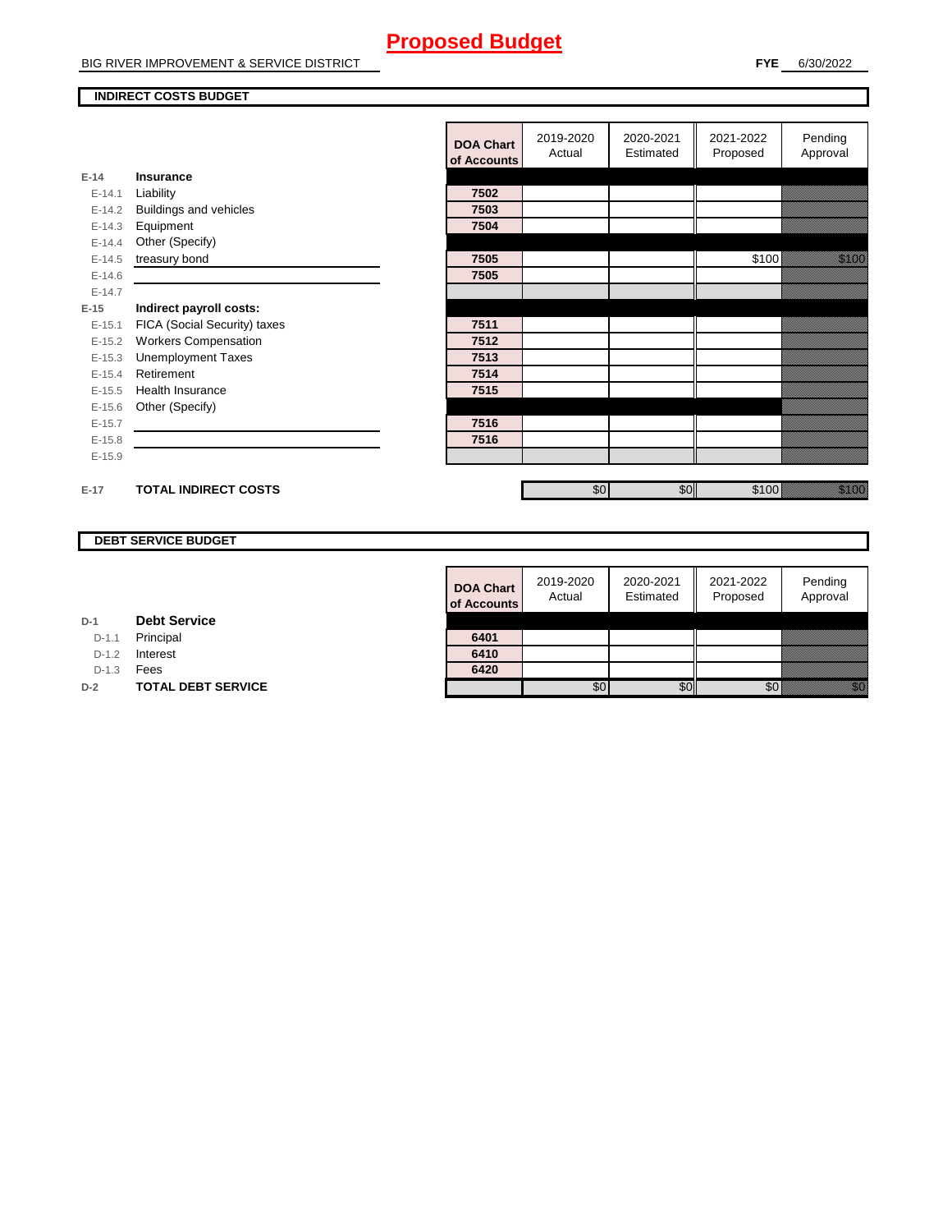BIG RIVER IMPROVEMENT & SERVICE DISTRICT

#### **INDIRECT COSTS BUDGET**

|          |                              | <b>DOA Chart</b><br>of Accounts | 2019-2020<br>Actual | 2020-2021<br>Estimated | 2021-2022<br>Proposed | Pending<br>Approval                                                                                                     |
|----------|------------------------------|---------------------------------|---------------------|------------------------|-----------------------|-------------------------------------------------------------------------------------------------------------------------|
| $E-14$   | Insurance                    |                                 |                     |                        |                       |                                                                                                                         |
| $E-14.1$ | Liability                    | 7502                            |                     |                        |                       |                                                                                                                         |
| $E-14.2$ | Buildings and vehicles       | 7503                            |                     |                        |                       |                                                                                                                         |
| $E-14.3$ | Equipment                    | 7504                            |                     |                        |                       |                                                                                                                         |
| $E-14.4$ | Other (Specify)              |                                 |                     |                        |                       |                                                                                                                         |
| $E-14.5$ | treasury bond                | 7505                            |                     |                        | \$100                 | <u> Hillian S</u>                                                                                                       |
| $E-14.6$ |                              | 7505                            |                     |                        |                       |                                                                                                                         |
| $E-14.7$ |                              |                                 |                     |                        |                       |                                                                                                                         |
| $E-15$   | Indirect payroll costs:      |                                 |                     |                        |                       |                                                                                                                         |
| $E-15.1$ | FICA (Social Security) taxes | 7511                            |                     |                        |                       |                                                                                                                         |
| $E-15.2$ | <b>Workers Compensation</b>  | 7512                            |                     |                        |                       |                                                                                                                         |
| $E-15.3$ | <b>Unemployment Taxes</b>    | 7513                            |                     |                        |                       |                                                                                                                         |
| $E-15.4$ | Retirement                   | 7514                            |                     |                        |                       |                                                                                                                         |
| $E-15.5$ | Health Insurance             | 7515                            |                     |                        |                       |                                                                                                                         |
| $E-15.6$ | Other (Specify)              |                                 |                     |                        |                       |                                                                                                                         |
| $E-15.7$ |                              | 7516                            |                     |                        |                       |                                                                                                                         |
| $E-15.8$ |                              | 7516                            |                     |                        |                       |                                                                                                                         |
| $E-15.9$ |                              |                                 |                     |                        |                       |                                                                                                                         |
|          |                              |                                 |                     |                        |                       |                                                                                                                         |
| $E-17$   | <b>TOTAL INDIRECT COSTS</b>  |                                 | \$0                 | \$0                    | \$100                 | e de la componenta de la componenta de la componenta de la componenta de la componenta de la componenta de la<br>España |

#### **DEBT SERVICE BUDGET**

| <b>DOA Chart</b><br>of Accounts | 2019-2020<br>Actual | 2020-2021<br>Estimated | 2021-2022<br>Proposed | Pending<br>Approval |
|---------------------------------|---------------------|------------------------|-----------------------|---------------------|
|                                 |                     |                        |                       |                     |
| 6401                            |                     |                        |                       |                     |
| 6410                            |                     |                        |                       |                     |
| 6420                            |                     |                        |                       |                     |
|                                 |                     |                        |                       |                     |

**D-1 Debt Service**

D-1.1 Principal

D-1.2 **Interest** 

D-1.3 **Fees** 

**D-2 TOTAL DEBT SERVICE**